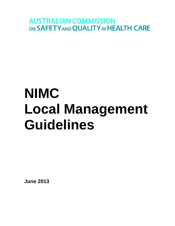**AUSTRALIAN COMMISSION** ON SAFETY AND QUALITY IN HEALTH CARE

# **NIMC Local Management Guidelines**

**June 2013**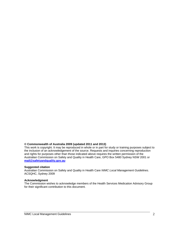#### **© Commonwealth of Australia 2009 (updated 2011 and 2013)**

This work is copyright. It may be reproduced in whole or in part for study or training purposes subject to the inclusion of an acknowledgement of the source. Requests and inquiries concerning reproduction and rights for purposes other than those indicated above requires the written permission of the Australian Commission on Safety and Quality in Health Care, GPO Box 5480 Sydney NSW 2001 or **[mail@safetyandquality.gov.au](mailto:mail@safetyandquality.gov.au)**

#### **Suggested citation**

Australian Commission on Safety and Quality in Health Care *NIMC Local Management Guidelines*. ACSQHC, Sydney 2009

#### **Acknowledgment**

The Commission wishes to acknowledge members of the Health Services Medication Advisory Group for their significant contribution to this document.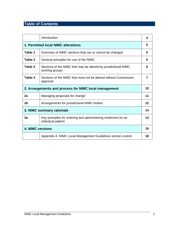# **Table of Contents**

|                                                       | Introduction                                                                         |    |
|-------------------------------------------------------|--------------------------------------------------------------------------------------|----|
| 1. Permitted local NIMC alterations                   |                                                                                      | 5  |
| Table 1                                               | Summary of NIMC sections that can or cannot be changed                               | 5  |
| Table 2                                               | General principles for use of the NIMC                                               | 5  |
| Table 3                                               | Sections of the NIMC that may be altered by jurisdictional NIMC<br>working groups    | 6  |
| Table 4                                               | Sections of the NIMC that must not be altered without Commission<br>approval         | 7  |
| 2. Arrangements and process for NIMC local management |                                                                                      |    |
| 2a                                                    | Managing proposals for change                                                        | 11 |
| 2b                                                    | Arrangements for jurisdictional NIMC bodies                                          | 12 |
|                                                       | 3. NIMC summary rationale                                                            |    |
| 3a                                                    | Key principles for ordering and administering medicines for an<br>individual patient | 14 |
| <b>4. NIMC versions</b>                               |                                                                                      | 16 |
|                                                       | Appendix A: NIMC Local Management Guidelines version control                         | 18 |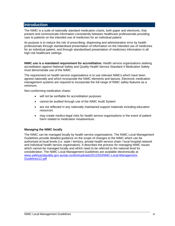## **Introduction**

The NIMC is a suite of nationally standard medication charts, both paper and electronic, that present and communicate information consistently between healthcare professionals providing care to patients on the intended use of medicines for an individual patient.

Its purpose is to reduce the risk of prescribing, dispensing and administration error by health professionals through standardised presentation of information on the intended use of medicines for an individual patient, and through standardised presentation of medicines information in all high risk healthcare settings.

**NIMC use is a mandated requirement for accreditation.** Health service organisations seeking accreditation against National Safety and Quality Health Service Standard 4 Medication Safety must demonstrate use of the NIMC.

The requirement on health service organisations is to use relevant NIMCs which have been agreed nationally and which incorporate the NIMC elements and layouts. Electronic medication management systems are required to incorporate the full range of NIMC safety features as a minimum.

Non-conforming medication charts:

- will not be verifiable for accreditation purposes
- cannot be audited through use of the NIMC Audit System
- are not reflected in any nationally maintained support materials including education resources
- may create medico-legal risks for health service organisations in the event of patient harm related to medication misadventure.

#### **Managing the NIMC locally**

The NIMC can be managed locally by health service organisations. The NIMC Local Management Guidelines provide detailed guidance on the scope of changes to the NIMC which can be authorised at local levels (i.e. state / territory, private health service chain / local hospital network and individual health service organisation). It describes the process for managing NIMC issues which cannot be managed locally and which need to be referred to the national level for consideration. The NIMC Local Management Guidelines are available electronically at [www.safetyandquality.gov.au/wp-content/uploads/2012/02/NIMC-Local-Management-](http://www.safetyandquality.gov.au/wp-content/uploads/2012/02/NIMC-Local-Management-Guidelines12.pdf)[Guidelines12.pdf](http://www.safetyandquality.gov.au/wp-content/uploads/2012/02/NIMC-Local-Management-Guidelines12.pdf)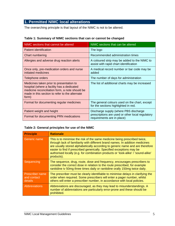# **1. Permitted NIMC local alterations**

The overarching principle is that layout of the NIMC is not to be altered.

## **Table 1: Summary of NIMC sections that can or cannot be changed**

| NIMC sections that cannot be altered                                                                                                                                                                | NIMC sections that can be altered                                                      |
|-----------------------------------------------------------------------------------------------------------------------------------------------------------------------------------------------------|----------------------------------------------------------------------------------------|
| Patient identification                                                                                                                                                                              | The logo                                                                               |
| Chart numbering                                                                                                                                                                                     | Recommended administration times                                                       |
| Allergies and adverse drug reaction alerts                                                                                                                                                          | A coloured strip may be added to the NIMC to<br>assist with rapid chart identification |
| Once only, pre-medication orders and nurse<br>initiated medicines                                                                                                                                   | A medical record number or bar code may be<br>added                                    |
| Telephone orders                                                                                                                                                                                    | The number of days for administration                                                  |
| Medicines taken prior to presentation to<br>hospital (where a facility has a dedicated<br>medicine reconciliation form, a note should be<br>made in this section to refer to the alternate<br>form) | The list of additional charts may be increased                                         |
| Format for documenting regular medicines                                                                                                                                                            | The general colours used on the chart, except<br>for the sections highlighted in red.  |
| Patient weight and height                                                                                                                                                                           | Discharge supply (where PBS discharge                                                  |
| Format for documenting PRN medications                                                                                                                                                              | prescriptions are used or other local regulatory<br>requirements are in place)         |

# **Table 2: General principles for use of the NIMC**

| <b>Principle</b>                                 | <b>Rationale</b>                                                                                                                                                                                                                                                                                                                                                                                                        |
|--------------------------------------------------|-------------------------------------------------------------------------------------------------------------------------------------------------------------------------------------------------------------------------------------------------------------------------------------------------------------------------------------------------------------------------------------------------------------------------|
| Generic name                                     | This is to minimise the risk of the same medicine being prescribed twice,<br>through lack of familiarity with different brand names. In addition medicines<br>are usually stored alphabetically according to generic name and are therefore<br>easier to find if prescribed generically. Specified exceptions may be<br>authorised locally (e.g. for combination products or 'look-alike' / 'sound-alike'<br>products). |
| Sequencing                                       | The sequence, drug, route, dose and frequency, encourages prescribers to<br>consider the correct dose in relation to the route prescribed, for example<br>ranitidine iv 50mg three times daily or ranitidine orally 150mg twice daily.                                                                                                                                                                                  |
| <b>Prescriber name</b><br>and contact<br>details | The prescriber must be clearly identifiable to minimise delays in clarifying the<br>order when required. Some prescribers will enter a pager number, whilst<br>others will enter a prescriber number, in accordance with local policies.                                                                                                                                                                                |
| <b>Abbreviations</b>                             | Abbreviations are discouraged, as they may lead to misunderstandings. A<br>number of abbreviations are particularly error-prone and these should be<br>prohibited.                                                                                                                                                                                                                                                      |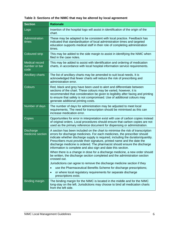| <b>Section</b>                                 | <b>Rationale</b>                                                                                                                                                                                                                                                                                                                                                                                                                                                       |  |
|------------------------------------------------|------------------------------------------------------------------------------------------------------------------------------------------------------------------------------------------------------------------------------------------------------------------------------------------------------------------------------------------------------------------------------------------------------------------------------------------------------------------------|--|
| Logo                                           | Insertion of the hospital logo will assist in identification of the origin of the<br>chart.                                                                                                                                                                                                                                                                                                                                                                            |  |
| Administration<br>times                        | These may be adapted to be consistent with local practice. Feedback has<br>indicated that standardisation of local administration times and targeted<br>education supports medical staff in their role of completing administration<br>times.                                                                                                                                                                                                                          |  |
| <b>Coloured strip</b>                          | This may be added to the side margin to assist in identifying the NIMC when<br>filed in the case notes.                                                                                                                                                                                                                                                                                                                                                                |  |
| <b>Medical record</b><br>number or bar<br>code | This may be added to assist with identification and ordering of medication<br>charts, in accordance with local hospital information service requirements.                                                                                                                                                                                                                                                                                                              |  |
| Ancillary charts                               | The list of ancillary charts may be amended to suit local needs. It is<br>acknowledged that fewer charts will reduce the risk of prescribing and<br>administration error.                                                                                                                                                                                                                                                                                              |  |
| Colours                                        | Red, black and grey have been used to alert and differentiate between<br>sections of the chart. These colours may be varied, however, it is<br>recommended that consideration be given to legibility after faxing and printing<br>to ensure that safety is not compromised. Use of additional colours may<br>generate additional printing costs.                                                                                                                       |  |
| Number of days                                 | The number of days for administration may be adjusted to meet local<br>requirements. The need for transcription should be minimised as this can<br>increase medication error.                                                                                                                                                                                                                                                                                          |  |
| Copies                                         | Opportunities for error in interpretation exist with use of carbon copies instead<br>of original orders. Local procedures should ensure that carbon copies are not<br>used as the primary reference document for dispensing or administration.                                                                                                                                                                                                                         |  |
| <b>Discharge</b><br>medicine section           | A section has been included on the chart to minimise the risk of transcription<br>errors for discharge medicines. For each medicines, the prescriber should<br>indicate whether discharge supply is required, including the duration/quantity.<br>Prescribers must provide their signature, printed name and the date the<br>discharge medicine is ordered. The pharmacist should ensure the discharge<br>information is complete and also sign and date this section. |  |
|                                                | When there is a change in dose for a discharge medicine, a new order should<br>be written, the discharge section completed and the administration section<br>crossed out.                                                                                                                                                                                                                                                                                              |  |
|                                                | Jurisdictions can agree to remove the discharge medicine section if they                                                                                                                                                                                                                                                                                                                                                                                               |  |
|                                                | use the Pharmaceutical Benefits Scheme for discharge prescriptions;<br>$\bullet$                                                                                                                                                                                                                                                                                                                                                                                       |  |
|                                                | or where local regulatory requirements for separate discharge<br>prescriptions exist.                                                                                                                                                                                                                                                                                                                                                                                  |  |
| <b>Binding margin</b>                          | The binding margin for the NIMC is located in the middle and for the NIMC<br>long-stay on the left. Jurisdictions may choose to bind all medication charts<br>from the left side.                                                                                                                                                                                                                                                                                      |  |

# **Table 3: Sections of the NIMC that may be altered by local agreement**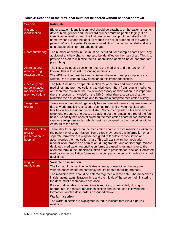|  | Table 4: Sections of the NIMC that must not be altered without national approval |  |
|--|----------------------------------------------------------------------------------|--|
|  |                                                                                  |  |

| <b>Section</b>                                                        | <b>Rationale</b>                                                                                                                                                                                                                                                                                                                                                                                                                                                                                                                                                                                                                                                  |
|-----------------------------------------------------------------------|-------------------------------------------------------------------------------------------------------------------------------------------------------------------------------------------------------------------------------------------------------------------------------------------------------------------------------------------------------------------------------------------------------------------------------------------------------------------------------------------------------------------------------------------------------------------------------------------------------------------------------------------------------------------|
| Patient<br>identification                                             | Either a patient identification label should be attached, or the patient's name,<br>date of birth, gender and unit record number must be printed legibly. If an<br>identification label is used, the first prescriber must print the patient's full<br>name by hand under the label, to reduce the risk of ordering for the wrong<br>patient. Writing the patient's name is in addition to attaching a label and acts<br>as a double check for pre-labeled charts.                                                                                                                                                                                                |
| <b>Chart numbering</b>                                                | The number of charts in use must be identified, for example chart 1 of 2. Any<br>additional ancillary charts must also be identified on the main chart. This is to<br>provide an alert to minimise the risk of omission of medicine or inappropriate<br>prescribing.                                                                                                                                                                                                                                                                                                                                                                                              |
| Allergies and<br>adverse drug<br>reaction alerts                      | The NIMC includes a section to record the medicine and the reaction, if<br>known. This is to assist prescribing decisions.<br>The ADR section must be clearly visible whenever most prescriptions are<br>written. Red is used to draw attention to this important section.                                                                                                                                                                                                                                                                                                                                                                                        |
| Once only and<br>nurse initiatied<br>medicines and<br>pre-medications | The NIMC includes a separate section for once only and nurse initiated<br>medicines and pre-medications a to distinguish them from regular medicines<br>and therefore minimise the risk of unnecessary administration. It is important<br>that this section is included on the NIMC rather than a separate chart to<br>minimise the risk of omission and to provide a complete medication history.                                                                                                                                                                                                                                                                |
| Telephone<br>orders                                                   | Telephone orders should generally be discouraged, unless they are essential<br>due to work practice restrictions, such as rural and private hospitals and<br>facilities without resident medical staff. Some metropolitan sites have limited<br>telephone orders to one dose, by blacking out the remaining three of the four<br>boxes. Capacity has been allowed on the medication chart for two nurses to<br>sign for a telephone order, which must be co-signed by the prescriber within<br>24 hours of the order.                                                                                                                                             |
| Medicines taken<br>prior to<br>presentation to<br>hospital            | There should be space on the medication chart to record medicines taken by<br>the patient prior to admission. Some sites may record this information on a<br>separate form which is purpose designed to facilitate reconciliation and<br>accompanies the medication chart. This will assist with the medication<br>reconciliation process on admission, during transfer and at discharge. Where<br>dedicated medication reconciliation forms are used, sites may refer to the<br>alternate form in the 'medicines taken prior to presentation' section. Dedicated<br>medication reconciliation forms must accompany the current medication chart<br>at all times. |
| Regular                                                               | Variable dose section:                                                                                                                                                                                                                                                                                                                                                                                                                                                                                                                                                                                                                                            |
| medications                                                           | The format of this section facilitates ordering of medicines that require<br>variable doses based on pathology results or as a reducing protocol.                                                                                                                                                                                                                                                                                                                                                                                                                                                                                                                 |
|                                                                       | The medicine level should be entered together with the date. The prescriber's<br>initials, actual administration time and the initials of the person administering<br>the dose must accompany each dose.                                                                                                                                                                                                                                                                                                                                                                                                                                                          |
|                                                                       | If a second variable dose medicine is required, or twice daily dosing is<br>appropriate, the regular medicines section should be used following the<br>format for variable dose orders described above.                                                                                                                                                                                                                                                                                                                                                                                                                                                           |
|                                                                       | <b>Warfarin section:</b>                                                                                                                                                                                                                                                                                                                                                                                                                                                                                                                                                                                                                                          |
|                                                                       | The warfarin section is highlighted in red to indicate that it is a high risk<br>medicine.                                                                                                                                                                                                                                                                                                                                                                                                                                                                                                                                                                        |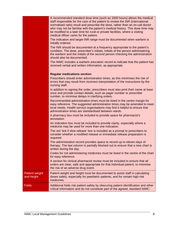|                                     | A recommended standard dose time (such as 1600 hours) allows the medical<br>staff responsible for the care of the patient to review the INR (international<br>normalised ratio) result and prescribe the dose, rather than an on-call doctor<br>who may not be familiar with the patient's medical history. This dose time may<br>be modified to a later time for rural or private facilities, where a visiting<br>medical officer cares for the patient.<br>The indication and target INR range must be documented when warfarin is<br>initially ordered.<br>The INR should be documented at a frequency appropriate to the patient's<br>condition. The dose, prescriber's initials, initials of the person administering |
|-------------------------------------|----------------------------------------------------------------------------------------------------------------------------------------------------------------------------------------------------------------------------------------------------------------------------------------------------------------------------------------------------------------------------------------------------------------------------------------------------------------------------------------------------------------------------------------------------------------------------------------------------------------------------------------------------------------------------------------------------------------------------|
|                                     | the warfarin and the initials of the second person checking the administration<br>should also be documented.                                                                                                                                                                                                                                                                                                                                                                                                                                                                                                                                                                                                               |
|                                     | The NIMC includes a warfarin education record to indicate that the patient has<br>received verbal and written information, as appropriate.                                                                                                                                                                                                                                                                                                                                                                                                                                                                                                                                                                                 |
|                                     | <b>Regular medications section:</b>                                                                                                                                                                                                                                                                                                                                                                                                                                                                                                                                                                                                                                                                                        |
|                                     | Prescribers should enter administration times, as this minimises the risk of<br>errors that may result from incorrect interpretation of the instructions by the<br>nursing staff.                                                                                                                                                                                                                                                                                                                                                                                                                                                                                                                                          |
|                                     | In addition to signing the order, prescribers must also print their name at least<br>once and provide contact details, such as pager number or prescriber<br>number, to minimise delays in clarifying orders.                                                                                                                                                                                                                                                                                                                                                                                                                                                                                                              |
|                                     | Recommended administration times must be listed in the centre margin for<br>easy reference. The suggested administration times may be amended to meet<br>local needs. Health service organisations may find it helpful to ensure that<br>administration times are standardised between wards.                                                                                                                                                                                                                                                                                                                                                                                                                              |
|                                     | A pharmacy box must be included to provide space for pharmacist's<br>annotation                                                                                                                                                                                                                                                                                                                                                                                                                                                                                                                                                                                                                                            |
|                                     | An indication box must be included to provide clarity, especially where a<br>medicine may be used for more than one indication.                                                                                                                                                                                                                                                                                                                                                                                                                                                                                                                                                                                            |
|                                     | The red 'tick if slow release' box is included as a prompt to prescribers to<br>consider whether a modified release or immediate release preparation is<br>required.                                                                                                                                                                                                                                                                                                                                                                                                                                                                                                                                                       |
|                                     | The administration record provides space to record up to eleven days of<br>therapy. The last column is partially blocked out to ensure that a new chart is<br>written during the day.                                                                                                                                                                                                                                                                                                                                                                                                                                                                                                                                      |
|                                     | Codes for not administering medicines must be listed in the centre of the chart<br>for easy reference.                                                                                                                                                                                                                                                                                                                                                                                                                                                                                                                                                                                                                     |
|                                     | A section for clinical pharmacist review must be included to ensure that all<br>orders are clear, safe and appropriate for that individual patient, to minimise<br>the risk of an adverse drug event.                                                                                                                                                                                                                                                                                                                                                                                                                                                                                                                      |
| <b>Patient weight</b><br>and height | Patient weight and height must be documented to assist staff in calculating<br>doses safely, especially for paediatric patients, and for certain high risk<br>medicines.                                                                                                                                                                                                                                                                                                                                                                                                                                                                                                                                                   |
| <b>Folds</b>                        | Additional folds risk patient safety by obscuring patient identification and other<br>critical information and do not constitute part of the agreed, standard NIMC.                                                                                                                                                                                                                                                                                                                                                                                                                                                                                                                                                        |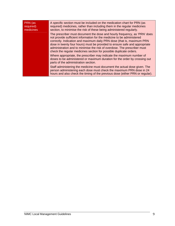| PRN (as<br>required)<br>medicines | A specific section must be included on the medication chart for PRN (as<br>required) medicines, rather than including them in the regular medicines<br>section, to minimise the risk of these being administered regularly.                                                                                                                                                                                                                                   |
|-----------------------------------|---------------------------------------------------------------------------------------------------------------------------------------------------------------------------------------------------------------------------------------------------------------------------------------------------------------------------------------------------------------------------------------------------------------------------------------------------------------|
|                                   | The prescriber must document the dose and hourly frequency, as 'PRN' does<br>not provide sufficient information for the medicine to be administered<br>correctly. Indication and maximum daily PRN dose (that is, maximum PRN<br>dose in twenty four hours) must be provided to ensure safe and appropriate<br>administration and to minimise the risk of overdose. The prescriber must<br>check the regular medicines section for possible duplicate orders. |
|                                   | Where appropriate, the prescriber may indicate the maximum number of<br>doses to be administered or maximum duration for the order by crossing out<br>parts of the administration section.                                                                                                                                                                                                                                                                    |
|                                   | Staff administering the medicine must document the actual dose given. The<br>person administering each dose must check the maximum PRN dose in 24<br>hours and also check the timing of the previous dose (either PRN or regular).                                                                                                                                                                                                                            |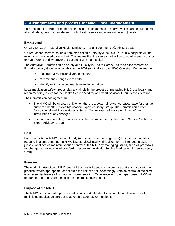# **2. Arrangements and process for NIMC local management**

This document provides guidance on the scope of changes to the NIMC which can be authorised at local (state, territory, private and public health service organisation network) levels.

#### **Background**

On 23 April 2004, Australian Health Ministers, in a joint communiqué, advised that:

'To reduce the harm to patients from medication errors, by June 2006, all public hospitals will be using a common medication chart. This means that the same chart will be used wherever a doctor or nurse works and wherever the patient is within a hospital'.

The Australian Commission on Safety and Quality in Health Care's Health Service Medication Expert Advisory Group was established in 2007 (originally as the NIMC Oversight Committee) to:

- maintain NIMC national version control
- recommend changes to the NIMC
- identify national impediments to implementation.

Local medication safety groups play a vital role in the process of managing NIMC use locally and recommending issues for the Health Service Medication Expert Advisory Group's consideration.

The Commission has agreed that:

- The NIMC will be updated only when there is a powerful, evidence-based case for change put to the Health Service Medication Expert Advisory Group. The Commission's Inter-Jurisdictional and Private Hospital Sector Committees will advise on timing of the introduction of any changes.
- Specialist and ancillary charts will also be recommended by the Health Service Medication Expert Advisory Group.

#### **Goal**

Each jurisdictional NIMC oversight body (or the equivalent arrangement) has the responsibility to respond in a timely manner to NIMC issues raised locally. This document is intended to assist jurisdictional bodies maintain version control of the NIMC by managing issues, such as proposals for change, at the local level or referring issues to the Health Service Medication Expert Advisory Group.

#### **Premises**

The work of jurisdictional NIMC oversight bodies is based on the premise that standardisation of practice, where appropriate, can reduce the risk of error. Accordingly, version control of the NIMC is an essential feature of its national implementation. Experience with the paper-based NIMC will be transferred to developments in the electronic environment.

#### **Purpose of the NIMC**

The NIMC is a standard inpatient medication chart intended to contribute in different ways to minimising medication errors and adverse outcomes for inpatients.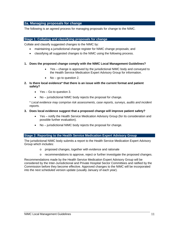### **2a. Managing proposals for change**

The following is an agreed process for managing proposals for change to the NIMC.

#### **Stage 1: Collating and classifying proposals for change**

Collate and classify suggested changes to the NIMC by:

- maintaining a jurisdictional change register for NIMC change proposals; and
- classifying all suggested changes to the NIMC using the following process.
- **1. Does the proposed change comply with the NIMC Local Management Guidelines?** 
	- Yes change is approved by the jurisdictional NIMC body and conveyed to the Health Service Medication Expert Advisory Group for information.
	- No go to question 2.
- **2. Is there local evidence\* that there is an issue with the current format and patient safety?** 
	- Yes Go to question 3.
	- No jurisdictional NIMC body rejects the proposal for change.

\* *Local evidence may comprise risk assessments, case reports, surveys, audits and incident reports.* 

#### **3. Does local evidence suggest that a proposed change will improve patient safety?**

- Yes notify the Health Service Medication Advisory Group (for its consideration and possible further evaluation).
- No jurisdictional NIMC body rejects the proposal for change.

#### **Stage 2: Reporting to the Health Service Medication Expert Advisory Group**

The jurisdictional NIMC body submits a report to the Health Service Medication Expert Advisory Group which includes:

- o proposed changes, together with evidence and rationale
- o recommendations to approve, reject or further investigate the proposed changes.

Recommendations made by the Health Service Medication Expert Advisory Group will be considered by the Inter-Jurisdictional and Private Hospital Sector Committees and ratified by the Commission before they become effective. Approved changes to the NIMC will be incorporated into the next scheduled version update (usually January of each year).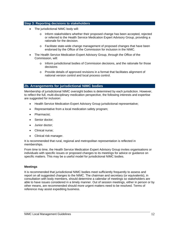#### **Step 3: Reporting decisions to stakeholders**

- The jurisdictional NIMC body will:
	- o Inform stakeholders whether their proposed change has been accepted, rejected or referred to the Health Service Medication Expert Advisory Group, providing a rationale for the decision.
	- $\circ$  Facilitate state-wide change management of proposed changes that have been endorsed by the Office of the Commission for inclusion in the NIMC.
- The Health Service Medication Expert Advisory Group, through the Office of the Commission, will:
	- $\circ$  Inform jurisdictional bodies of Commission decisions, and the rationale for those decisions
	- $\circ$  Provide details of approved revisions in a format that facilitates alignment of national version control and local process control.

#### **2b. Arrangements for jurisdictional NIMC bodies**

Membership of jurisdictional NIMC oversight bodies is determined by each jurisdiction. However, to reflect the full, multi-disciplinary medication perspective, the following interests and expertise are suggested for inclusion:

- Health Service Medication Expert Advisory Group jurisdictional representative;
- Representative from a local medication safety program;
- Pharmacist;
- Senior doctor:
- Junior doctor;
- Clinical nurse;
- Clinical risk manager.

It is recommended that rural, regional and metropolitan representation is reflected in memberships.

From time to time, the Health Service Medication Expert Advisory Group invites organisations or individuals with specific issues or proposed changes to its meetings for advice or guidance on specific matters. This may be a useful model for jurisdictional NIMC bodies.

#### **Meetings**

It is recommended that jurisdictional NIMC bodies meet sufficiently frequently to assess and report on all suggested changes to the NIMC. The chairman and secretary (or equivalents), in consultation with body members, should determine a calendar of meetings so stakeholders are able to have issues considered in a timely manner. Out of session meetings, either in person or by other means, are recommended should more urgent matters need to be resolved. Terms of reference may assist expediting business.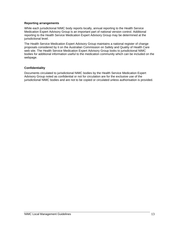#### **Reporting arrangements**

While each jurisdictional NIMC body reports locally, annual reporting to the Health Service Medication Expert Advisory Group is an important part of national version control. Additional reporting to the Health Service Medication Expert Advisory Group may be determined at the jurisdictional level.

The Health Service Medication Expert Advisory Group maintains a national register of change proposals considered by it on the Australian Commission on Safety and Quality of Health Care web site. The Health Service Medication Expert Advisory Group looks to jurisdictional NIMC bodies for additional information useful to the medication community which can be included on the webpage.

#### **Confidentiality**

Documents circulated to jurisdictional NIMC bodies by the Health Service Medication Expert Advisory Group noted as confidential or not for circulation are for the exclusive use of the jurisdictional NIMC bodies and are not to be copied or circulated unless authorisation is provided.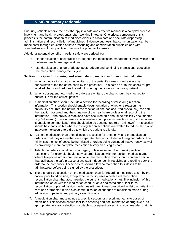# **3. NIMC summary rationale**

Ensuring patients receive the best therapy in a safe and effective manner is a complex process involving many health professionals often working in teams. One critical component of this process is the communication of medicines orders to allow safe and accurate dispensing, administration and reconciliation of medicines. Evidence suggests that communication can be made safer through education of safe prescribing and administration principles and with standardisation of best practice to reduce the potential for errors.

Additional potential benefits in patient safety are derived from:

- standardisation of best practice throughout the medication management cycle, within and between healthcare organisations
- standardisation of undergraduate, postgraduate and continuing professional education in the medication management cycle.

#### **3a. Key principles for ordering and administering medicines for an individual patient**

- 1. When a medication chart is first written up, the patient's name should always be handwritten at the top of the chart by the prescriber. This acts as a double check for prelabelled charts and reduces the risk of ordering medicine for the wrong patient.
- 2. When subsequent new medicine orders are written, the chart should be checked to ensure it is for the correct patient.
- 3. A medication chart should include a section for recording adverse drug reaction information. This section should enable documentation of whether a reaction has previously occurred, the nature of the reaction (if one has occurred previously), the date the reaction occurred and the signature of the healthcare professional recording the information. If no previous reactions have occurred, this should be explicitly documented (e.g. 'nil known'). If no information is available about previous reactions (e.g. if the patient is unable to communicate), this should also be documented (e.g. 'unknown'). This section should be clearly visible where most regular prescriptions are written to reduce the risk of inadvertent exposure to a drug to which the patient is allergic.
- 4. A single medication chart should include a section for 'once only' and premedication orders so that they are neither on a separate chart nor included with regular orders. This minimises the risk of doses being missed or orders being continued inadvertently, as well as providing a more complete medication history on a single chart.
- 5. Telephone orders should be discouraged, unless essential due to work practice restrictions (for example, health service organisations with no resident medical staff). Where telephone orders are unavoidable, the medication chart should contain a section that facilitates the safe practice of two staff independently receiving and reading back the order to the prescriber. These orders should allow no more than four doses to be administered before being signed by the prescriber.
- 6. There should be a section on the medication chart for recording medicines taken by the patient prior to admission, except when a facility uses a dedicated medication reconciliation chart that accompanies the current medication chart. The inclusion of this information on or with the medication chart, or on a dedicated chart, facilitates reconciliation of pre-admission medicines with medicines prescribed whilst the patient is in care and at transfer. It also aids communication of changes to medicines made during admission to patients and primary care clinicians.
- 7. A medication chart must include a specific section for prescribing variable doses of medicines. This section should facilitate ordering and documentation of drug levels, as appropriate, to assist selection of suitable subsequent doses. It is recommended that this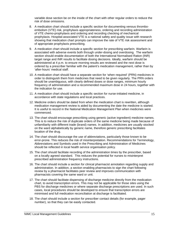variable dose section be on the inside of the chart with other regular orders to reduce the risk of dose omissions.

- 8. A medication chart should include a specific section for documenting venous thromboembolism (VTE) risk, prophylaxis appropriateness, ordering and recording administration of VTE chemo-prophylaxis and ordering and recording checking of mechanical prophylaxis. Hospital-associated VTE is a national safety and quality issue with research showing that medication chart prompts can improve the rate of VTE risk assessment and of appropriate prophylaxis prescribing.
- 9. A medication chart should include a specific section for prescribing warfarin. Warfarin is associated with adverse events both through under-dosing and overdosing. The warfarin section should enable documentation of both the International Normalised Ration (INR) target range and INR results to facilitate dosing decisions. Ideally, warfarin should be administered at 4 p.m. to ensure morning results are reviewed and the next dose is ordered by a prescriber familiar with the patient's medication management, rather than by 'after-hours' medical staff.
- 10. A medication chart should have a separate section for 'when required' (PRN) medicines in order to distinguish them from medicines that need to be given regularly. The PRN orders should be unambiguous, with clearly defined doses or dose ranges, minimum hourly frequency of administration and a recommended maximum dose in 24 hours, together with the indication for use.
- 11. A medication chart should include a specific section for nurse-initiated medicine, in accordance with state regulations and local practices.
- 12. Medicine orders should be dated from when the medication chart is rewritten, although medication management review is aided by documenting the date the medicine is started. It is useful to record in the National Medication Management Plan when medicines were commenced.
- 13. The chart should encourage prescribing using generic (active ingredient) medicine names. This is to reduce the risk of duplicate orders of the same medicine being made because of unfamiliarity with different trade (brand) names. In addition, medicines are usually stocked on the ward alphabetically by generic name, therefore generic prescribing facilitates location of the drug.
- 14. The chart should discourage the use of abbreviations, particularly those known to be error-prone. This reduces the risk of misinterpretation. Recommendations for Terminology, Abbreviations and Symbols used in the Prescribing and Administration of Medicines should be reflected in local health service organisation policy.
- 15. The chart should facilitate recording of the administration times by the prescriber, based on a locally agreed standard. This reduces the potential for nurses to misinterpret prescribed administration frequency instructions.
- 16. The chart should include a section for clinical pharmacist annotation regarding supply and administration. In addition, a section enabling pharmacists to sign the chart following review by a pharmacist facilitates peer review and improves communication with pharmacists covering the same ward or unit.
- 17. The chart should facilitate dispensing of discharge medicine directly from the medication chart, to avoid transcription errors. This may not be applicable for those sites using the PBS for discharge medicines or where separate discharge prescriptions are used. In such cases, local procedures should be developed to ensure that transcription errors are minimised and full medication reconciliation at discharge is facilitated.
- 18. The chart should include a section for prescriber contact details (for example, pager number), so that they can be easily contacted.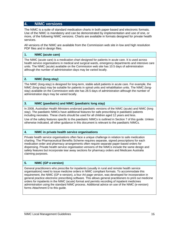# **4. NIMC versions**

The NIMC is a suite of standard medication charts in both paper-based and electronic formats. Use of the NIMC is mandatory and can be demonstrated by implementation and use of one, or more, of the following NIMC versions. Charts are available in formats designed for private health services.

All versions of the NIMC are available from the Commission web site in low and high resolution PDF files and in design files.

#### **1. NIMC (acute care)**

The NIMC (acute care) is a medication chart designed for patients in acute care. It is used across health service organisations in medical and surgical wards, emergency departments and intensive care units. The NIMC (acute) available on the Commission web site has 10.5 days of administration although the number of administration days may be varied locally.

#### **2. NIMC (long-stay)**

The NIMC (long-stay) is designed for long-term, stable adult patients in acute care. For example, the NIMC (long-stay) may be suitable for patients in spinal units and rehabilitation units. The NIMC (longstay) available on the Commission web site has 28.5 days of administration although the number of administration days may be varied locally.

#### **3. NIMC (paediatric) and NIMC (paediatric long stay)**

In 2008, Australian Health Ministers endorsed paediatric versions of the NIMC (acute) and NIMC (long stay). The paediatric NIMCs have additional features for safe prescribing in paediatric patients including neonates. These charts should be used for all children aged 12 years and less.

Use of the safety features specific to the paediatric NIMCs is outlined in Section 7 of this guide. Unless otherwise indicated, all other guidance in this document is relevant to the paediatric NIMCs.

#### **4. NIMC in private health service organisations**

Private health service organisations often face a unique challenge in relation to safe medication charting. The Pharmaceutical Benefits Scheme requires separate, signed prescriptions for each medication order and pharmacy arrangements often require separate paper-based orders for dispensing. Private health service organisation versions of the NIMCs include the same design and safety features but incorporate tear away sections for pharmacy orders and Medicare Australia claiming purposes.

#### **5. NIMC (GP e-version)**

General practitioners who prescribe for inpatients (usually in rural and remote health service organisations) need to issue medicine orders in NIMC compliant formats. To accommodate this requirement, the NIMC (GP e-version), a four A4 page version, was developed for incorporation in general practice electronic prescribing software. This allows general practitioners to print out medicine orders for inpatients in the NIMC (acute) format and permits recording of inpatient medicines administration using the standard NIMC process. Additional advice on use of the NIMC (e-version) forms Attachment D to this guide.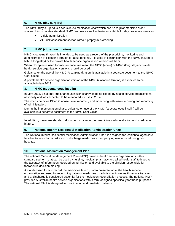#### **6. NIMC (day surgery)**

The NIMC (day surgery) is a two-side A4 medication chart which has no regular medicine order spaces. It incorporates standard NIMC features as well as features suitable for day procedure services:

- IV fluid administration
- VTE risk assessment section without prophylaxis ordering

#### **7. NIMC (clozapine titration)**

NIMC (clozapine titration) is intended to be used as a record of the prescribing, monitoring and administration of clozapine titration for adult patients. It is used in conjunction with the NIMC (acute) or NIMC (long-stay) or the private health service organisation versions of them.

When clozapine is used for maintenance treatment, the NIMC (acute) or NIMC (long-stay) or private health service organisation versions should be used.

Guidance on the use of the NIMC (clozapine titration) is available in a separate document to the NIMC User Guide.

A private health service organisation version of the NIMC (clozapine titration) is expected to be available in late 2013.

#### **8. NIMC (subcutaneous insulin)**

In May 2013, a national subcutaneous insulin chart was being piloted by health service organisations nationally and was expected to be mandated for use in 2014.

The chart combines Blood Glucose Level recording and monitoring with insulin ordering and recording of administration.

During the implementation phase, guidance on use of the NIMC (subcutaneous insulin) will be available in a separate document to the NIMC User Guide.

In addition, there are standard documents for recording medicines administration and medication history.

#### **9. National Interim Residential Medication Administration Chart**

The National Interim Residential Medication Administration Chart is designed for residential aged care facilities to record administration of discharge medicines accompanying residents returning from hospital.

#### **10. National Medication Management Plan**

The national Medication Management Plan (MMP) provides health service organisations with a standardised form that can be used by nursing, medical, pharmacy and allied health staff to improve the accuracy of information recorded on admission and available to the clinician responsible for therapeutic decision making.

A standardised form to record the medicines taken prior to presentation at the health service organisation and used for reconciling patients' medicines on admission, intra-health service transfer and at discharge is considered essential for the medication reconciliation process. The national MMP provides Australian health service organisations with a form designed specifically for these purposes The national MMP is designed for use in adult and paediatric patients.